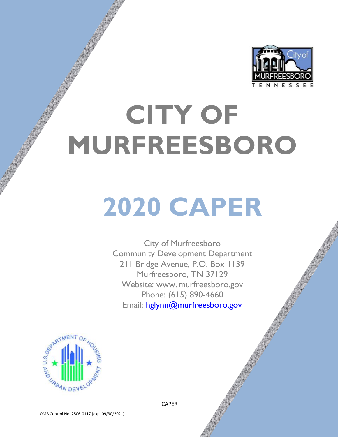

# **CITY OF MURFREESBORO**

# **2020 CAPER**

City of Murfreesboro Community Development Department 211 Bridge Avenue, P.O. Box 1139 Murfreesboro, TN 37129 Website: www. murfreesboro.gov Phone: (615) 890-4660 Email: [hglynn@murfreesboro.gov](mailto:hglynn@murfreesboro.gov)



OMB Control No: 2506-0117 (exp. 09/30/2021)

 $\sqrt{1.7}$  and  $\sqrt{1.7}$  and  $\sqrt{1.7}$  and  $\sqrt{1.7}$  and  $\sqrt{1.7}$  and  $\sqrt{1.7}$  and  $\sqrt{1.7}$  and  $\sqrt{1.7}$  and  $\sqrt{1.7}$  and  $\sqrt{1.7}$  and  $\sqrt{1.7}$  and  $\sqrt{1.7}$  and  $\sqrt{1.7}$  and  $\sqrt{1.7}$  and  $\sqrt{1.7}$  and  $\sqrt{1.7}$  a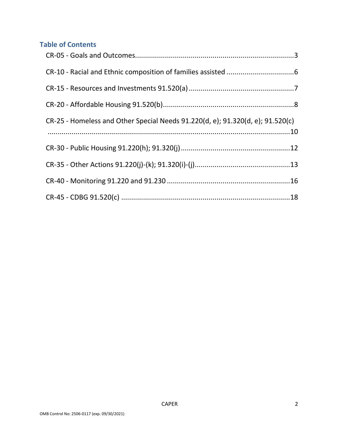# **Table of Contents**

| CR-25 - Homeless and Other Special Needs 91.220(d, e); 91.320(d, e); 91.520(c) |  |
|--------------------------------------------------------------------------------|--|
|                                                                                |  |
|                                                                                |  |
|                                                                                |  |
|                                                                                |  |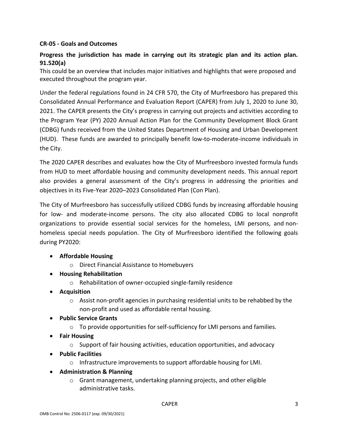## <span id="page-2-0"></span>**CR-05 - Goals and Outcomes**

# **Progress the jurisdiction has made in carrying out its strategic plan and its action plan. 91.520(a)**

This could be an overview that includes major initiatives and highlights that were proposed and executed throughout the program year.

Under the federal regulations found in 24 CFR 570, the City of Murfreesboro has prepared this Consolidated Annual Performance and Evaluation Report (CAPER) from July 1, 2020 to June 30, 2021. The CAPER presents the City's progress in carrying out projects and activities according to the Program Year (PY) 2020 Annual Action Plan for the Community Development Block Grant (CDBG) funds received from the United States Department of Housing and Urban Development (HUD). These funds are awarded to principally benefit low-to-moderate-income individuals in the City.

The 2020 CAPER describes and evaluates how the City of Murfreesboro invested formula funds from HUD to meet affordable housing and community development needs. This annual report also provides a general assessment of the City's progress in addressing the priorities and objectives in its Five-Year 2020–2023 Consolidated Plan (Con Plan).

The City of Murfreesboro has successfully utilized CDBG funds by increasing affordable housing for low- and moderate-income persons. The city also allocated CDBG to local nonprofit organizations to provide essential social services for the homeless, LMI persons, and nonhomeless special needs population. The City of Murfreesboro identified the following goals during PY2020:

## • **Affordable Housing**

- o Direct Financial Assistance to Homebuyers
- **Housing Rehabilitation**
	- o Rehabilitation of owner-occupied single-family residence
- **Acquisition**
	- $\circ$  Assist non-profit agencies in purchasing residential units to be rehabbed by the non-profit and used as affordable rental housing.
- **Public Service Grants**
	- $\circ$  To provide opportunities for self-sufficiency for LMI persons and families.
- **Fair Housing** 
	- o Support of fair housing activities, education opportunities, and advocacy
- **Public Facilities**
	- $\circ$  Infrastructure improvements to support affordable housing for LMI.
- **Administration & Planning**
	- o Grant management, undertaking planning projects, and other eligible administrative tasks.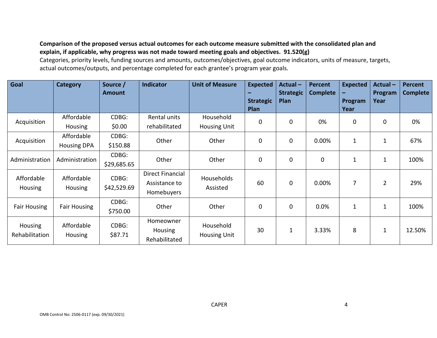# **Comparison of the proposed versus actual outcomes for each outcome measure submitted with the consolidated plan and explain, if applicable, why progress was not made toward meeting goals and objectives. 91.520(g)**

Categories, priority levels, funding sources and amounts, outcomes/objectives, goal outcome indicators, units of measure, targets, actual outcomes/outputs, and percentage completed for each grantee's program year goals.

| Goal                      | <b>Category</b>                  | Source /<br><b>Amount</b> | <b>Indicator</b>                                       | <b>Unit of Measure</b>           | <b>Expected</b><br><b>Strategic</b><br>Plan | Actual-<br><b>Strategic</b><br>Plan | <b>Percent</b><br><b>Complete</b> | <b>Expected</b><br>-<br><b>Program</b><br>Year | <b>Actual-</b><br>Program<br>Year | <b>Percent</b><br><b>Complete</b> |
|---------------------------|----------------------------------|---------------------------|--------------------------------------------------------|----------------------------------|---------------------------------------------|-------------------------------------|-----------------------------------|------------------------------------------------|-----------------------------------|-----------------------------------|
| Acquisition               | Affordable<br><b>Housing</b>     | CDBG:<br>\$0.00           | Rental units<br>rehabilitated                          | Household<br><b>Housing Unit</b> | 0                                           | $\Omega$                            | 0%                                | $\mathbf 0$                                    | $\mathbf 0$                       | 0%                                |
| Acquisition               | Affordable<br><b>Housing DPA</b> | CDBG:<br>\$150.88         | Other                                                  | Other                            | 0                                           | $\mathbf 0$                         | 0.00%                             | $\mathbf{1}$                                   | $\mathbf{1}$                      | 67%                               |
| Administration            | Administration                   | CDBG:<br>\$29,685.65      | Other                                                  | Other                            | 0                                           | 0                                   | $\mathbf 0$                       | $\mathbf 1$                                    | $\mathbf{1}$                      | 100%                              |
| Affordable<br>Housing     | Affordable<br>Housing            | CDBG:<br>\$42,529.69      | <b>Direct Financial</b><br>Assistance to<br>Homebuyers | Households<br>Assisted           | 60                                          | $\mathbf 0$                         | 0.00%                             | 7                                              | $\overline{2}$                    | 29%                               |
| <b>Fair Housing</b>       | <b>Fair Housing</b>              | CDBG:<br>\$750.00         | Other                                                  | Other                            | 0                                           | $\mathbf 0$                         | 0.0%                              | $\mathbf{1}$                                   | $\mathbf{1}$                      | 100%                              |
| Housing<br>Rehabilitation | Affordable<br>Housing            | CDBG:<br>\$87.71          | Homeowner<br>Housing<br>Rehabilitated                  | Household<br><b>Housing Unit</b> | 30                                          |                                     | 3.33%                             | 8                                              | $\mathbf 1$                       | 12.50%                            |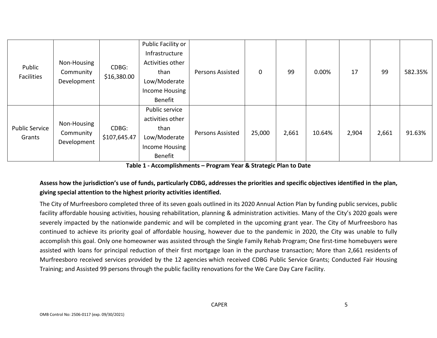| Public<br>Facilities            | Non-Housing<br>Community<br>Development | CDBG:<br>\$16,380.00  | Public Facility or<br>Infrastructure<br>Activities other<br>than<br>Low/Moderate<br>Income Housing<br>Benefit | <b>Persons Assisted</b> | $\mathbf 0$ | 99    | $0.00\%$ | 17    | 99    | 582.35% |
|---------------------------------|-----------------------------------------|-----------------------|---------------------------------------------------------------------------------------------------------------|-------------------------|-------------|-------|----------|-------|-------|---------|
| <b>Public Service</b><br>Grants | Non-Housing<br>Community<br>Development | CDBG:<br>\$107,645.47 | Public service<br>activities other<br>than<br>Low/Moderate<br>Income Housing<br>Benefit                       | <b>Persons Assisted</b> | 25,000      | 2,661 | 10.64%   | 2,904 | 2,661 | 91.63%  |

**Table 1 - Accomplishments – Program Year & Strategic Plan to Date**

# **Assess how the jurisdiction's use of funds, particularly CDBG, addresses the priorities and specific objectives identified in the plan, giving special attention to the highest priority activities identified.**

The City of Murfreesboro completed three of its seven goals outlined in its 2020 Annual Action Plan by funding public services, public facility affordable housing activities, housing rehabilitation, planning & administration activities. Many of the City's 2020 goals were severely impacted by the nationwide pandemic and will be completed in the upcoming grant year. The City of Murfreesboro has continued to achieve its priority goal of affordable housing, however due to the pandemic in 2020, the City was unable to fully accomplish this goal. Only one homeowner was assisted through the Single Family Rehab Program; One first-time homebuyers were assisted with loans for principal reduction of their first mortgage loan in the purchase transaction; More than 2,661 residents of Murfreesboro received services provided by the 12 agencies which received CDBG Public Service Grants; Conducted Fair Housing Training; and Assisted 99 persons through the public facility renovations for the We Care Day Care Facility.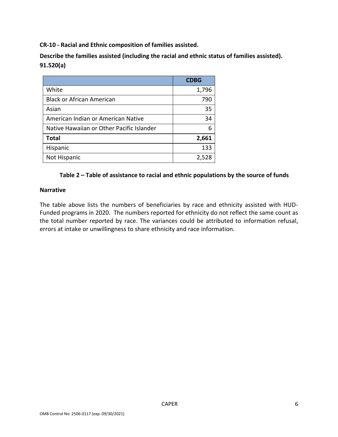<span id="page-5-0"></span>**CR-10 - Racial and Ethnic composition of families assisted.**

**Describe the families assisted (including the racial and ethnic status of families assisted). 91.520(a)**

|                                           | <b>CDBG</b> |
|-------------------------------------------|-------------|
| White                                     | 1,796       |
| <b>Black or African American</b>          | 790         |
| Asian                                     | 35          |
| American Indian or American Native        | 34          |
| Native Hawaiian or Other Pacific Islander | 6           |
| <b>Total</b>                              | 2,661       |
| Hispanic                                  | 133         |
| Not Hispanic                              | 2,528       |

## **Table 2 – Table of assistance to racial and ethnic populations by the source of funds**

#### **Narrative**

The table above lists the numbers of beneficiaries by race and ethnicity assisted with HUD-Funded programs in 2020. The numbers reported for ethnicity do not reflect the same count as the total number reported by race. The variances could be attributed to information refusal, errors at intake or unwillingness to share ethnicity and race information.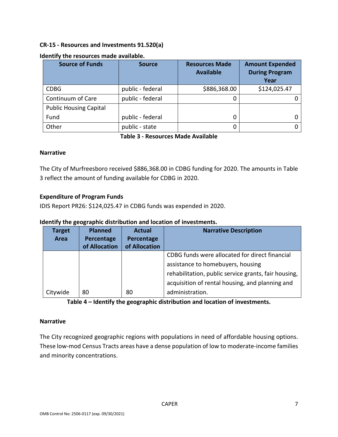## <span id="page-6-0"></span>**CR-15 - Resources and Investments 91.520(a)**

| <b>Source of Funds</b>        | <b>Source</b>    | <b>Resources Made</b><br><b>Available</b> | <b>Amount Expended</b><br><b>During Program</b><br>Year |
|-------------------------------|------------------|-------------------------------------------|---------------------------------------------------------|
| <b>CDBG</b>                   | public - federal | \$886,368.00                              | \$124,025.47                                            |
| Continuum of Care             | public - federal |                                           |                                                         |
| <b>Public Housing Capital</b> |                  |                                           |                                                         |
| Fund                          | public - federal |                                           |                                                         |
| Other                         | public - state   |                                           |                                                         |

#### **Identify the resources made available.**

**Table 3 - Resources Made Available**

#### **Narrative**

The City of Murfreesboro received \$886,368.00 in CDBG funding for 2020. The amounts in Table 3 reflect the amount of funding available for CDBG in 2020.

## **Expenditure of Program Funds**

IDIS Report PR26: \$124,025.47 in CDBG funds was expended in 2020.

#### **Identify the geographic distribution and location of investments.**

| <b>Target</b><br>Area | <b>Planned</b><br>Percentage<br>of Allocation | <b>Actual</b><br>Percentage<br>of Allocation | <b>Narrative Description</b>                                                                                                                                                                                      |
|-----------------------|-----------------------------------------------|----------------------------------------------|-------------------------------------------------------------------------------------------------------------------------------------------------------------------------------------------------------------------|
| Citywide              | 80                                            | 80                                           | CDBG funds were allocated for direct financial<br>assistance to homebuyers, housing<br>rehabilitation, public service grants, fair housing,<br>acquisition of rental housing, and planning and<br>administration. |

**Table 4 – Identify the geographic distribution and location of investments.**

#### **Narrative**

The City recognized geographic regions with populations in need of affordable housing options. These low-mod Census Tracts areas have a dense population of low to moderate-income families and minority concentrations.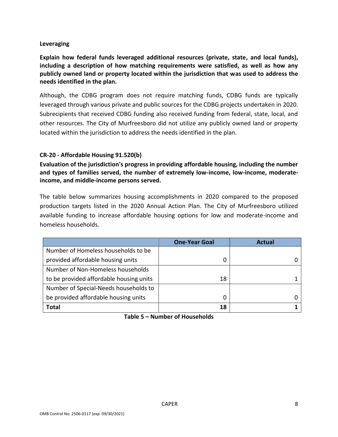## **Leveraging**

**Explain how federal funds leveraged additional resources (private, state, and local funds), including a description of how matching requirements were satisfied, as well as how any publicly owned land or property located within the jurisdiction that was used to address the needs identified in the plan.**

Although, the CDBG program does not require matching funds, CDBG funds are typically leveraged through various private and public sources for the CDBG projects undertaken in 2020. Subrecipients that received CDBG funding also received funding from federal, state, local, and other resources. The City of Murfreesboro did not utilize any publicly owned land or property located within the jurisdiction to address the needs identified in the plan.

## <span id="page-7-0"></span>**CR-20 - Affordable Housing 91.520(b)**

**Evaluation of the jurisdiction's progress in providing affordable housing, including the number and types of families served, the number of extremely low-income, low-income, moderateincome, and middle-income persons served.**

The table below summarizes housing accomplishments in 2020 compared to the proposed production targets listed in the 2020 Annual Action Plan. The City of Murfreesboro utilized available funding to increase affordable housing options for low and moderate-income and homeless households.

|                                         | <b>One-Year Goal</b> | Actual |
|-----------------------------------------|----------------------|--------|
| Number of Homeless households to be     |                      |        |
| provided affordable housing units       | 0                    |        |
| Number of Non-Homeless households       |                      |        |
| to be provided affordable housing units | 18                   |        |
| Number of Special-Needs households to   |                      |        |
| be provided affordable housing units    | 0                    |        |
| <b>Total</b>                            | 18                   |        |

**Table 5 – Number of Households**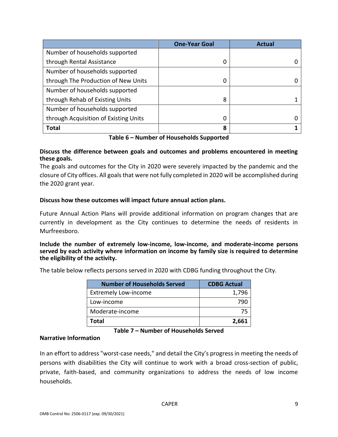|                                       | <b>One-Year Goal</b> | <b>Actual</b> |
|---------------------------------------|----------------------|---------------|
| Number of households supported        |                      |               |
| through Rental Assistance             | 0                    |               |
| Number of households supported        |                      |               |
| through The Production of New Units   | 0                    |               |
| Number of households supported        |                      |               |
| through Rehab of Existing Units       | 8                    |               |
| Number of households supported        |                      |               |
| through Acquisition of Existing Units | 0                    |               |
| <b>Total</b>                          | 8                    |               |

**Table 6 – Number of Households Supported**

## **Discuss the difference between goals and outcomes and problems encountered in meeting these goals.**

The goals and outcomes for the City in 2020 were severely impacted by the pandemic and the closure of City offices. All goals that were not fully completed in 2020 will be accomplished during the 2020 grant year.

## **Discuss how these outcomes will impact future annual action plans.**

Future Annual Action Plans will provide additional information on program changes that are currently in development as the City continues to determine the needs of residents in Murfreesboro.

**Include the number of extremely low-income, low-income, and moderate-income persons served by each activity where information on income by family size is required to determine the eligibility of the activity.**

The table below reflects persons served in 2020 with CDBG funding throughout the City.

| <b>Number of Households Served</b> | <b>CDBG Actual</b> |
|------------------------------------|--------------------|
| <b>Extremely Low-income</b>        | 1,796              |
| Low-income                         | 790                |
| Moderate-income                    | 75                 |
| Total                              | 2,661              |

## **Table 7 – Number of Households Served**

#### **Narrative Information**

In an effort to address "worst-case needs," and detail the City's progress in meeting the needs of persons with disabilities the City will continue to work with a broad cross-section of public, private, faith-based, and community organizations to address the needs of low income households.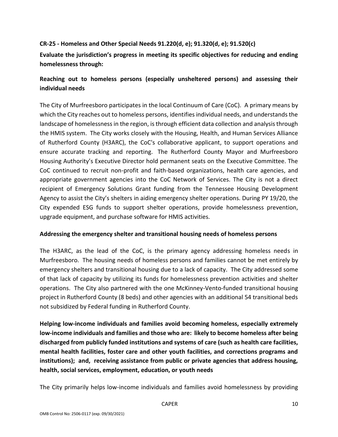## <span id="page-9-0"></span>**CR-25 - Homeless and Other Special Needs 91.220(d, e); 91.320(d, e); 91.520(c)**

**Evaluate the jurisdiction's progress in meeting its specific objectives for reducing and ending homelessness through:**

# **Reaching out to homeless persons (especially unsheltered persons) and assessing their individual needs**

The City of Murfreesboro participates in the local Continuum of Care (CoC). A primary means by which the City reaches out to homeless persons, identifies individual needs, and understands the landscape of homelessness in the region, is through efficient data collection and analysis through the HMIS system. The City works closely with the Housing, Health, and Human Services Alliance of Rutherford County (H3ARC), the CoC's collaborative applicant, to support operations and ensure accurate tracking and reporting. The Rutherford County Mayor and Murfreesboro Housing Authority's Executive Director hold permanent seats on the Executive Committee. The CoC continued to recruit non-profit and faith-based organizations, health care agencies, and appropriate government agencies into the CoC Network of Services. The City is not a direct recipient of Emergency Solutions Grant funding from the Tennessee Housing Development Agency to assist the City's shelters in aiding emergency shelter operations. During PY 19/20, the City expended ESG funds to support shelter operations, provide homelessness prevention, upgrade equipment, and purchase software for HMIS activities.

## **Addressing the emergency shelter and transitional housing needs of homeless persons**

The H3ARC, as the lead of the CoC, is the primary agency addressing homeless needs in Murfreesboro. The housing needs of homeless persons and families cannot be met entirely by emergency shelters and transitional housing due to a lack of capacity. The City addressed some of that lack of capacity by utilizing its funds for homelessness prevention activities and shelter operations. The City also partnered with the one McKinney-Vento-funded transitional housing project in Rutherford County (8 beds) and other agencies with an additional 54 transitional beds not subsidized by Federal funding in Rutherford County.

**Helping low-income individuals and families avoid becoming homeless, especially extremely low-income individuals and families and those who are: likely to become homeless after being discharged from publicly funded institutions and systems of care (such as health care facilities, mental health facilities, foster care and other youth facilities, and corrections programs and institutions); and, receiving assistance from public or private agencies that address housing, health, social services, employment, education, or youth needs**

The City primarily helps low-income individuals and families avoid homelessness by providing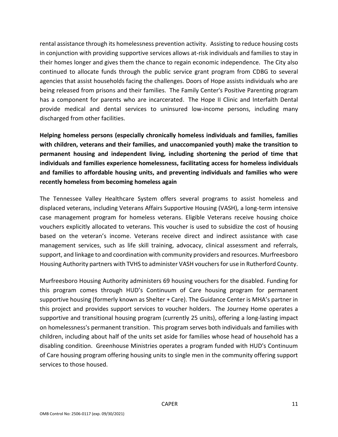rental assistance through its homelessness prevention activity. Assisting to reduce housing costs in conjunction with providing supportive services allows at-risk individuals and families to stay in their homes longer and gives them the chance to regain economic independence. The City also continued to allocate funds through the public service grant program from CDBG to several agencies that assist households facing the challenges. Doors of Hope assists individuals who are being released from prisons and their families. The Family Center's Positive Parenting program has a component for parents who are incarcerated. The Hope II Clinic and Interfaith Dental provide medical and dental services to uninsured low-income persons, including many discharged from other facilities.

**Helping homeless persons (especially chronically homeless individuals and families, families with children, veterans and their families, and unaccompanied youth) make the transition to permanent housing and independent living, including shortening the period of time that individuals and families experience homelessness, facilitating access for homeless individuals and families to affordable housing units, and preventing individuals and families who were recently homeless from becoming homeless again**

The Tennessee Valley Healthcare System offers several programs to assist homeless and displaced veterans, including Veterans Affairs Supportive Housing (VASH), a long-term intensive case management program for homeless veterans. Eligible Veterans receive housing choice vouchers explicitly allocated to veterans. This voucher is used to subsidize the cost of housing based on the veteran's income. Veterans receive direct and indirect assistance with case management services, such as life skill training, advocacy, clinical assessment and referrals, support, and linkage to and coordination with community providers and resources. Murfreesboro Housing Authority partners with TVHS to administer VASH vouchers for use in Rutherford County.

Murfreesboro Housing Authority administers 69 housing vouchers for the disabled. Funding for this program comes through HUD's Continuum of Care housing program for permanent supportive housing (formerly known as Shelter + Care). The Guidance Center is MHA's partner in this project and provides support services to voucher holders. The Journey Home operates a supportive and transitional housing program (currently 25 units), offering a long-lasting impact on homelessness's permanent transition. This program serves both individuals and families with children, including about half of the units set aside for families whose head of household has a disabling condition. Greenhouse Ministries operates a program funded with HUD's Continuum of Care housing program offering housing units to single men in the community offering support services to those housed.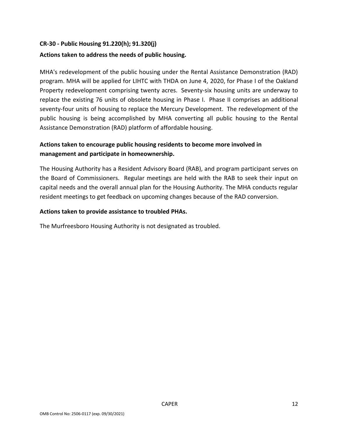# <span id="page-11-0"></span>**CR-30 - Public Housing 91.220(h); 91.320(j)**

## **Actions taken to address the needs of public housing.**

MHA's redevelopment of the public housing under the Rental Assistance Demonstration (RAD) program. MHA will be applied for LIHTC with THDA on June 4, 2020, for Phase I of the Oakland Property redevelopment comprising twenty acres. Seventy-six housing units are underway to replace the existing 76 units of obsolete housing in Phase I. Phase II comprises an additional seventy-four units of housing to replace the Mercury Development. The redevelopment of the public housing is being accomplished by MHA converting all public housing to the Rental Assistance Demonstration (RAD) platform of affordable housing.

# **Actions taken to encourage public housing residents to become more involved in management and participate in homeownership.**

The Housing Authority has a Resident Advisory Board (RAB), and program participant serves on the Board of Commissioners. Regular meetings are held with the RAB to seek their input on capital needs and the overall annual plan for the Housing Authority. The MHA conducts regular resident meetings to get feedback on upcoming changes because of the RAD conversion.

#### **Actions taken to provide assistance to troubled PHAs.**

The Murfreesboro Housing Authority is not designated as troubled.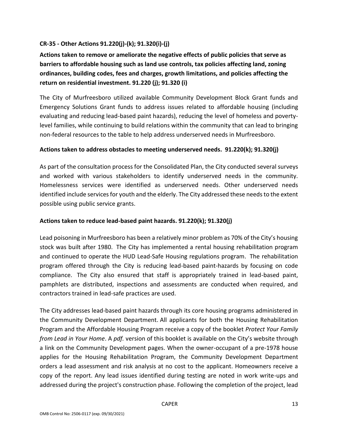## <span id="page-12-0"></span>**CR-35 - Other Actions 91.220(j)-(k); 91.320(i)-(j)**

**Actions taken to remove or ameliorate the negative effects of public policies that serve as barriers to affordable housing such as land use controls, tax policies affecting land, zoning ordinances, building codes, fees and charges, growth limitations, and policies affecting the return on residential investment. 91.220 (j); 91.320 (i)**

The City of Murfreesboro utilized available Community Development Block Grant funds and Emergency Solutions Grant funds to address issues related to affordable housing (including evaluating and reducing lead-based paint hazards), reducing the level of homeless and povertylevel families, while continuing to build relations within the community that can lead to bringing non-federal resources to the table to help address underserved needs in Murfreesboro.

## **Actions taken to address obstacles to meeting underserved needs. 91.220(k); 91.320(j)**

As part of the consultation process for the Consolidated Plan, the City conducted several surveys and worked with various stakeholders to identify underserved needs in the community. Homelessness services were identified as underserved needs. Other underserved needs identified include services for youth and the elderly. The City addressed these needs to the extent possible using public service grants.

## **Actions taken to reduce lead-based paint hazards. 91.220(k); 91.320(j)**

Lead poisoning in Murfreesboro has been a relatively minor problem as 70% of the City's housing stock was built after 1980. The City has implemented a rental housing rehabilitation program and continued to operate the HUD Lead-Safe Housing regulations program. The rehabilitation program offered through the City is reducing lead-based paint-hazards by focusing on code compliance. The City also ensured that staff is appropriately trained in lead-based paint, pamphlets are distributed, inspections and assessments are conducted when required, and contractors trained in lead-safe practices are used.

The City addresses lead-based paint hazards through its core housing programs administered in the Community Development Department. All applicants for both the Housing Rehabilitation Program and the Affordable Housing Program receive a copy of the booklet *Protect Your Family from Lead in Your Home*. A *pdf.* version of this booklet is available on the City's website through a link on the Community Development pages. When the owner-occupant of a pre-1978 house applies for the Housing Rehabilitation Program, the Community Development Department orders a lead assessment and risk analysis at no cost to the applicant. Homeowners receive a copy of the report. Any lead issues identified during testing are noted in work write-ups and addressed during the project's construction phase. Following the completion of the project, lead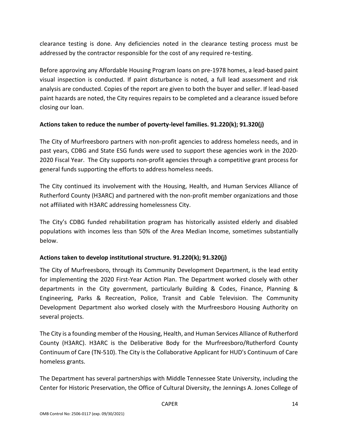clearance testing is done. Any deficiencies noted in the clearance testing process must be addressed by the contractor responsible for the cost of any required re-testing.

Before approving any Affordable Housing Program loans on pre-1978 homes, a lead-based paint visual inspection is conducted. If paint disturbance is noted, a full lead assessment and risk analysis are conducted. Copies of the report are given to both the buyer and seller. If lead-based paint hazards are noted, the City requires repairs to be completed and a clearance issued before closing our loan.

## **Actions taken to reduce the number of poverty-level families. 91.220(k); 91.320(j)**

The City of Murfreesboro partners with non-profit agencies to address homeless needs, and in past years, CDBG and State ESG funds were used to support these agencies work in the 2020- 2020 Fiscal Year. The City supports non-profit agencies through a competitive grant process for general funds supporting the efforts to address homeless needs.

The City continued its involvement with the Housing, Health, and Human Services Alliance of Rutherford County (H3ARC) and partnered with the non-profit member organizations and those not affiliated with H3ARC addressing homelessness City.

The City's CDBG funded rehabilitation program has historically assisted elderly and disabled populations with incomes less than 50% of the Area Median Income, sometimes substantially below.

## **Actions taken to develop institutional structure. 91.220(k); 91.320(j)**

The City of Murfreesboro, through its Community Development Department, is the lead entity for implementing the 2020 First-Year Action Plan. The Department worked closely with other departments in the City government, particularly Building & Codes, Finance, Planning & Engineering, Parks & Recreation, Police, Transit and Cable Television. The Community Development Department also worked closely with the Murfreesboro Housing Authority on several projects.

The City is a founding member of the Housing, Health, and Human Services Alliance of Rutherford County (H3ARC). H3ARC is the Deliberative Body for the Murfreesboro/Rutherford County Continuum of Care (TN-510). The City is the Collaborative Applicant for HUD's Continuum of Care homeless grants.

The Department has several partnerships with Middle Tennessee State University, including the Center for Historic Preservation, the Office of Cultural Diversity, the Jennings A. Jones College of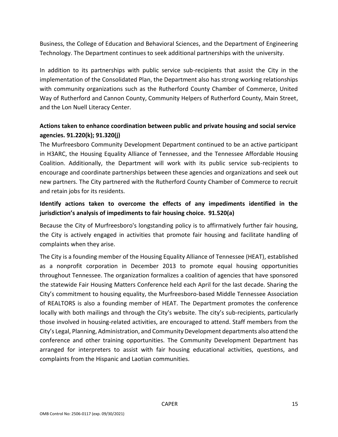Business, the College of Education and Behavioral Sciences, and the Department of Engineering Technology. The Department continues to seek additional partnerships with the university.

In addition to its partnerships with public service sub-recipients that assist the City in the implementation of the Consolidated Plan, the Department also has strong working relationships with community organizations such as the Rutherford County Chamber of Commerce, United Way of Rutherford and Cannon County, Community Helpers of Rutherford County, Main Street, and the Lon Nuell Literacy Center.

# **Actions taken to enhance coordination between public and private housing and social service agencies. 91.220(k); 91.320(j)**

The Murfreesboro Community Development Department continued to be an active participant in H3ARC, the Housing Equality Alliance of Tennessee, and the Tennessee Affordable Housing Coalition. Additionally, the Department will work with its public service sub-recipients to encourage and coordinate partnerships between these agencies and organizations and seek out new partners. The City partnered with the Rutherford County Chamber of Commerce to recruit and retain jobs for its residents.

# **Identify actions taken to overcome the effects of any impediments identified in the jurisdiction's analysis of impediments to fair housing choice. 91.520(a)**

Because the City of Murfreesboro's longstanding policy is to affirmatively further fair housing, the City is actively engaged in activities that promote fair housing and facilitate handling of complaints when they arise.

The City is a founding member of the Housing Equality Alliance of Tennessee (HEAT), established as a nonprofit corporation in December 2013 to promote equal housing opportunities throughout Tennessee. The organization formalizes a coalition of agencies that have sponsored the statewide Fair Housing Matters Conference held each April for the last decade. Sharing the City's commitment to housing equality, the Murfreesboro-based Middle Tennessee Association of REALTORS is also a founding member of HEAT. The Department promotes the conference locally with both mailings and through the City's website. The city's sub-recipients, particularly those involved in housing-related activities, are encouraged to attend. Staff members from the City's Legal, Planning, Administration, and Community Development departments also attend the conference and other training opportunities. The Community Development Department has arranged for interpreters to assist with fair housing educational activities, questions, and complaints from the Hispanic and Laotian communities.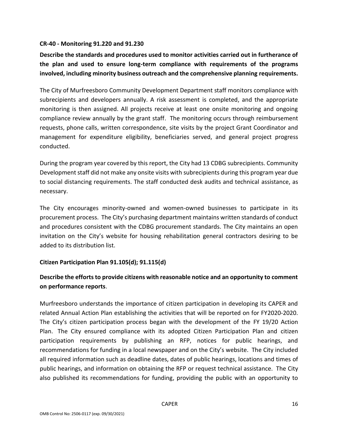#### <span id="page-15-0"></span>**CR-40 - Monitoring 91.220 and 91.230**

**Describe the standards and procedures used to monitor activities carried out in furtherance of the plan and used to ensure long-term compliance with requirements of the programs involved, including minority business outreach and the comprehensive planning requirements.**

The City of Murfreesboro Community Development Department staff monitors compliance with subrecipients and developers annually. A risk assessment is completed, and the appropriate monitoring is then assigned. All projects receive at least one onsite monitoring and ongoing compliance review annually by the grant staff. The monitoring occurs through reimbursement requests, phone calls, written correspondence, site visits by the project Grant Coordinator and management for expenditure eligibility, beneficiaries served, and general project progress conducted.

During the program year covered by this report, the City had 13 CDBG subrecipients. Community Development staff did not make any onsite visits with subrecipients during this program year due to social distancing requirements. The staff conducted desk audits and technical assistance, as necessary.

The City encourages minority-owned and women-owned businesses to participate in its procurement process. The City's purchasing department maintains written standards of conduct and procedures consistent with the CDBG procurement standards. The City maintains an open invitation on the City's website for housing rehabilitation general contractors desiring to be added to its distribution list.

#### **Citizen Participation Plan 91.105(d); 91.115(d)**

# **Describe the efforts to provide citizens with reasonable notice and an opportunity to comment on performance reports**.

Murfreesboro understands the importance of citizen participation in developing its CAPER and related Annual Action Plan establishing the activities that will be reported on for FY2020-2020. The City's citizen participation process began with the development of the FY 19/20 Action Plan. The City ensured compliance with its adopted Citizen Participation Plan and citizen participation requirements by publishing an RFP, notices for public hearings, and recommendations for funding in a local newspaper and on the City's website. The City included all required information such as deadline dates, dates of public hearings, locations and times of public hearings, and information on obtaining the RFP or request technical assistance. The City also published its recommendations for funding, providing the public with an opportunity to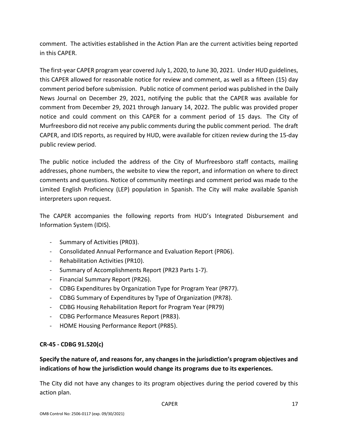comment. The activities established in the Action Plan are the current activities being reported in this CAPER.

The first-year CAPER program year covered July 1, 2020, to June 30, 2021. Under HUD guidelines, this CAPER allowed for reasonable notice for review and comment, as well as a fifteen (15) day comment period before submission. Public notice of comment period was published in the Daily News Journal on December 29, 2021, notifying the public that the CAPER was available for comment from December 29, 2021 through January 14, 2022. The public was provided proper notice and could comment on this CAPER for a comment period of 15 days. The City of Murfreesboro did not receive any public comments during the public comment period. The draft CAPER, and IDIS reports, as required by HUD, were available for citizen review during the 15-day public review period.

The public notice included the address of the City of Murfreesboro staff contacts, mailing addresses, phone numbers, the website to view the report, and information on where to direct comments and questions. Notice of community meetings and comment period was made to the Limited English Proficiency (LEP) population in Spanish. The City will make available Spanish interpreters upon request.

The CAPER accompanies the following reports from HUD's Integrated Disbursement and Information System (IDIS).

- Summary of Activities (PR03).
- Consolidated Annual Performance and Evaluation Report (PR06).
- Rehabilitation Activities (PR10).
- Summary of Accomplishments Report (PR23 Parts 1-7).
- Financial Summary Report (PR26).
- CDBG Expenditures by Organization Type for Program Year (PR77).
- CDBG Summary of Expenditures by Type of Organization (PR78).
- CDBG Housing Rehabilitation Report for Program Year (PR79)
- CDBG Performance Measures Report (PR83).
- HOME Housing Performance Report (PR85).

## **CR-45 - CDBG 91.520(c)**

# **Specify the nature of, and reasons for, any changes in the jurisdiction's program objectives and indications of how the jurisdiction would change its programs due to its experiences.**

The City did not have any changes to its program objectives during the period covered by this action plan.